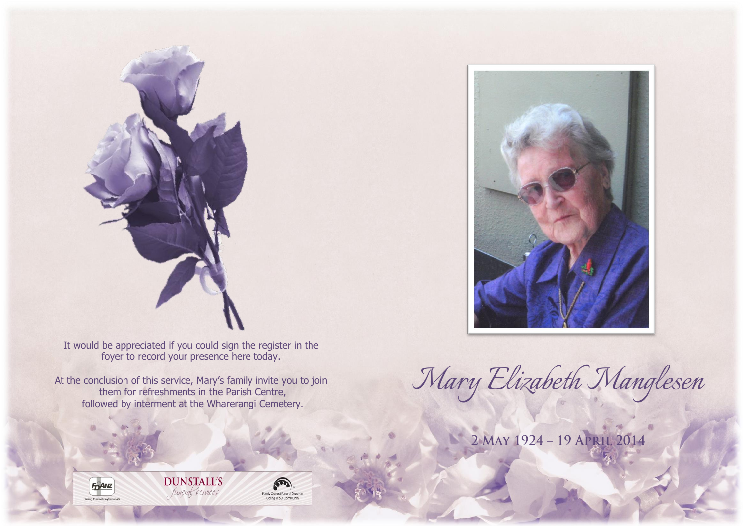

It would be appreciated if you could sign the register in the foyer to record your presence here today.

At the conclusion of this service, Mary's family invite you to join them for refreshments in the Parish Centre, followed by interment at the Wharerangi Cemetery.



*Mary Elizabeth Manglesen*

2 MAY 1924 - 19 APRIL 2014